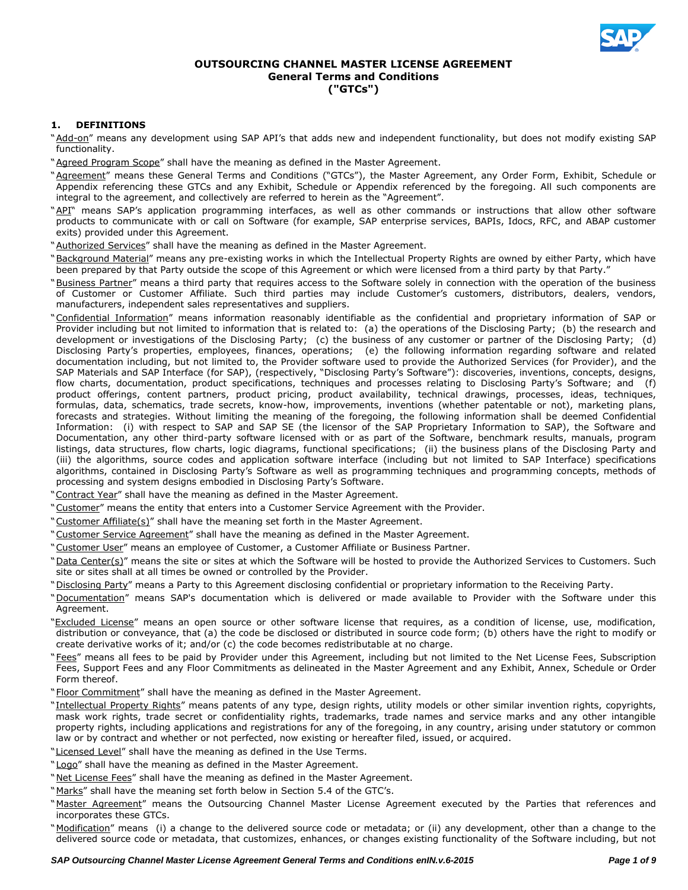

# **OUTSOURCING CHANNEL MASTER LICENSE AGREEMENT General Terms and Conditions ("GTCs")**

# **1. DEFINITIONS**

- "Add-on" means any development using SAP API's that adds new and independent functionality, but does not modify existing SAP functionality.
- "Agreed Program Scope" shall have the meaning as defined in the Master Agreement.
- "Agreement" means these General Terms and Conditions ("GTCs"), the Master Agreement, any Order Form, Exhibit, Schedule or Appendix referencing these GTCs and any Exhibit, Schedule or Appendix referenced by the foregoing. All such components are integral to the agreement, and collectively are referred to herein as the "Agreement".
- "API" means SAP's application programming interfaces, as well as other commands or instructions that allow other software products to communicate with or call on Software (for example, SAP enterprise services, BAPIs, Idocs, RFC, and ABAP customer exits) provided under this Agreement.
- "Authorized Services" shall have the meaning as defined in the Master Agreement.
- "Background Material" means any pre-existing works in which the Intellectual Property Rights are owned by either Party, which have been prepared by that Party outside the scope of this Agreement or which were licensed from a third party by that Party."
- "Business Partner" means a third party that requires access to the Software solely in connection with the operation of the business of Customer or Customer Affiliate. Such third parties may include Customer's customers, distributors, dealers, vendors, manufacturers, independent sales representatives and suppliers.
- "Confidential Information" means information reasonably identifiable as the confidential and proprietary information of SAP or Provider including but not limited to information that is related to: (a) the operations of the Disclosing Party; (b) the research and development or investigations of the Disclosing Party; (c) the business of any customer or partner of the Disclosing Party; (d) Disclosing Party's properties, employees, finances, operations; (e) the following information regarding software and related documentation including, but not limited to, the Provider software used to provide the Authorized Services (for Provider), and the SAP Materials and SAP Interface (for SAP), (respectively, "Disclosing Party's Software"): discoveries, inventions, concepts, designs, flow charts, documentation, product specifications, techniques and processes relating to Disclosing Party's Software; and (f) product offerings, content partners, product pricing, product availability, technical drawings, processes, ideas, techniques, formulas, data, schematics, trade secrets, know-how, improvements, inventions (whether patentable or not), marketing plans, forecasts and strategies. Without limiting the meaning of the foregoing, the following information shall be deemed Confidential Information: (i) with respect to SAP and SAP SE (the licensor of the SAP Proprietary Information to SAP), the Software and Documentation, any other third-party software licensed with or as part of the Software, benchmark results, manuals, program listings, data structures, flow charts, logic diagrams, functional specifications; (ii) the business plans of the Disclosing Party and (iii) the algorithms, source codes and application software interface (including but not limited to SAP Interface) specifications algorithms, contained in Disclosing Party's Software as well as programming techniques and programming concepts, methods of processing and system designs embodied in Disclosing Party's Software.
- "Contract Year" shall have the meaning as defined in the Master Agreement.
- "Customer" means the entity that enters into a Customer Service Agreement with the Provider.
- "Customer Affiliate(s)" shall have the meaning set forth in the Master Agreement.
- "Customer Service Agreement" shall have the meaning as defined in the Master Agreement.
- "Customer User" means an employee of Customer, a Customer Affiliate or Business Partner.
- "Data Center(s)" means the site or sites at which the Software will be hosted to provide the Authorized Services to Customers. Such site or sites shall at all times be owned or controlled by the Provider.
- "Disclosing Party" means a Party to this Agreement disclosing confidential or proprietary information to the Receiving Party.
- "Documentation" means SAP's documentation which is delivered or made available to Provider with the Software under this Agreement.
- "Excluded License" means an open source or other software license that requires, as a condition of license, use, modification, distribution or conveyance, that (a) the code be disclosed or distributed in source code form; (b) others have the right to modify or create derivative works of it; and/or (c) the code becomes redistributable at no charge.
- "Fees" means all fees to be paid by Provider under this Agreement, including but not limited to the Net License Fees, Subscription Fees, Support Fees and any Floor Commitments as delineated in the Master Agreement and any Exhibit, Annex, Schedule or Order Form thereof.
- "Floor Commitment" shall have the meaning as defined in the Master Agreement.
- "Intellectual Property Rights" means patents of any type, design rights, utility models or other similar invention rights, copyrights, mask work rights, trade secret or confidentiality rights, trademarks, trade names and service marks and any other intangible property rights, including applications and registrations for any of the foregoing, in any country, arising under statutory or common law or by contract and whether or not perfected, now existing or hereafter filed, issued, or acquired.
- "Licensed Level" shall have the meaning as defined in the Use Terms.
- "Logo" shall have the meaning as defined in the Master Agreement.
- "Net License Fees" shall have the meaning as defined in the Master Agreement.
- "Marks" shall have the meaning set forth below in Section 5.4 of the GTC's.
- "Master Agreement" means the Outsourcing Channel Master License Agreement executed by the Parties that references and incorporates these GTCs.
- "Modification" means (i) a change to the delivered source code or metadata; or (ii) any development, other than a change to the delivered source code or metadata, that customizes, enhances, or changes existing functionality of the Software including, but not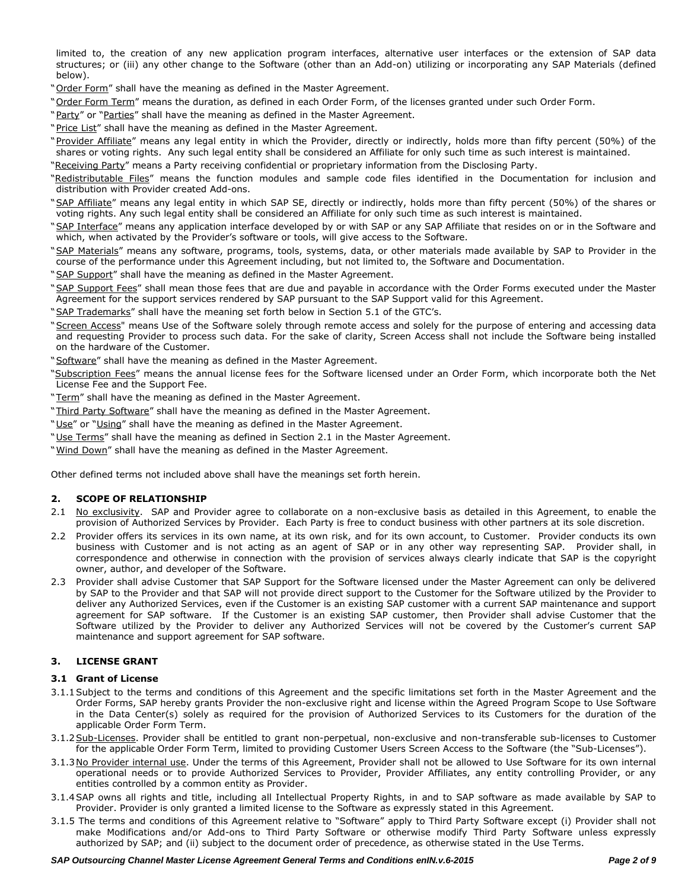limited to, the creation of any new application program interfaces, alternative user interfaces or the extension of SAP data structures; or (iii) any other change to the Software (other than an Add-on) utilizing or incorporating any SAP Materials (defined below).

"Order Form" shall have the meaning as defined in the Master Agreement.

- "Order Form Term" means the duration, as defined in each Order Form, of the licenses granted under such Order Form.
- "Party" or "Parties" shall have the meaning as defined in the Master Agreement.
- "Price List" shall have the meaning as defined in the Master Agreement.
- "Provider Affiliate" means any legal entity in which the Provider, directly or indirectly, holds more than fifty percent (50%) of the shares or voting rights. Any such legal entity shall be considered an Affiliate for only such time as such interest is maintained.
- "Receiving Party" means a Party receiving confidential or proprietary information from the Disclosing Party.
- "Redistributable Files" means the function modules and sample code files identified in the Documentation for inclusion and distribution with Provider created Add-ons.
- "SAP Affiliate" means any legal entity in which SAP SE, directly or indirectly, holds more than fifty percent (50%) of the shares or voting rights. Any such legal entity shall be considered an Affiliate for only such time as such interest is maintained.
- "SAP Interface" means any application interface developed by or with SAP or any SAP Affiliate that resides on or in the Software and which, when activated by the Provider's software or tools, will give access to the Software.
- "SAP Materials" means any software, programs, tools, systems, data, or other materials made available by SAP to Provider in the course of the performance under this Agreement including, but not limited to, the Software and Documentation.
- "SAP Support" shall have the meaning as defined in the Master Agreement.
- "SAP Support Fees" shall mean those fees that are due and payable in accordance with the Order Forms executed under the Master Agreement for the support services rendered by SAP pursuant to the SAP Support valid for this Agreement.
- "SAP Trademarks" shall have the meaning set forth below in Section 5.1 of the GTC's.
- "Screen Access" means Use of the Software solely through remote access and solely for the purpose of entering and accessing data and requesting Provider to process such data. For the sake of clarity, Screen Access shall not include the Software being installed on the hardware of the Customer.
- "Software" shall have the meaning as defined in the Master Agreement.
- "Subscription Fees" means the annual license fees for the Software licensed under an Order Form, which incorporate both the Net License Fee and the Support Fee.
- "Term" shall have the meaning as defined in the Master Agreement.
- "Third Party Software" shall have the meaning as defined in the Master Agreement.
- "Use" or "Using" shall have the meaning as defined in the Master Agreement.
- "Use Terms" shall have the meaning as defined in Section 2.1 in the Master Agreement.
- "Wind Down" shall have the meaning as defined in the Master Agreement.

Other defined terms not included above shall have the meanings set forth herein.

### **2. SCOPE OF RELATIONSHIP**

- 2.1 No exclusivity. SAP and Provider agree to collaborate on a non-exclusive basis as detailed in this Agreement, to enable the provision of Authorized Services by Provider. Each Party is free to conduct business with other partners at its sole discretion.
- 2.2 Provider offers its services in its own name, at its own risk, and for its own account, to Customer. Provider conducts its own business with Customer and is not acting as an agent of SAP or in any other way representing SAP. Provider shall, in correspondence and otherwise in connection with the provision of services always clearly indicate that SAP is the copyright owner, author, and developer of the Software.
- 2.3 Provider shall advise Customer that SAP Support for the Software licensed under the Master Agreement can only be delivered by SAP to the Provider and that SAP will not provide direct support to the Customer for the Software utilized by the Provider to deliver any Authorized Services, even if the Customer is an existing SAP customer with a current SAP maintenance and support agreement for SAP software. If the Customer is an existing SAP customer, then Provider shall advise Customer that the Software utilized by the Provider to deliver any Authorized Services will not be covered by the Customer's current SAP maintenance and support agreement for SAP software.

## **3. LICENSE GRANT**

### **3.1 Grant of License**

- 3.1.1Subject to the terms and conditions of this Agreement and the specific limitations set forth in the Master Agreement and the Order Forms, SAP hereby grants Provider the non-exclusive right and license within the Agreed Program Scope to Use Software in the Data Center(s) solely as required for the provision of Authorized Services to its Customers for the duration of the applicable Order Form Term.
- 3.1.2 Sub-Licenses. Provider shall be entitled to grant non-perpetual, non-exclusive and non-transferable sub-licenses to Customer for the applicable Order Form Term, limited to providing Customer Users Screen Access to the Software (the "Sub-Licenses").
- 3.1.3No Provider internal use. Under the terms of this Agreement, Provider shall not be allowed to Use Software for its own internal operational needs or to provide Authorized Services to Provider, Provider Affiliates, any entity controlling Provider, or any entities controlled by a common entity as Provider.
- 3.1.4SAP owns all rights and title, including all Intellectual Property Rights, in and to SAP software as made available by SAP to Provider. Provider is only granted a limited license to the Software as expressly stated in this Agreement.
- 3.1.5 The terms and conditions of this Agreement relative to "Software" apply to Third Party Software except (i) Provider shall not make Modifications and/or Add-ons to Third Party Software or otherwise modify Third Party Software unless expressly authorized by SAP; and (ii) subject to the document order of precedence, as otherwise stated in the Use Terms.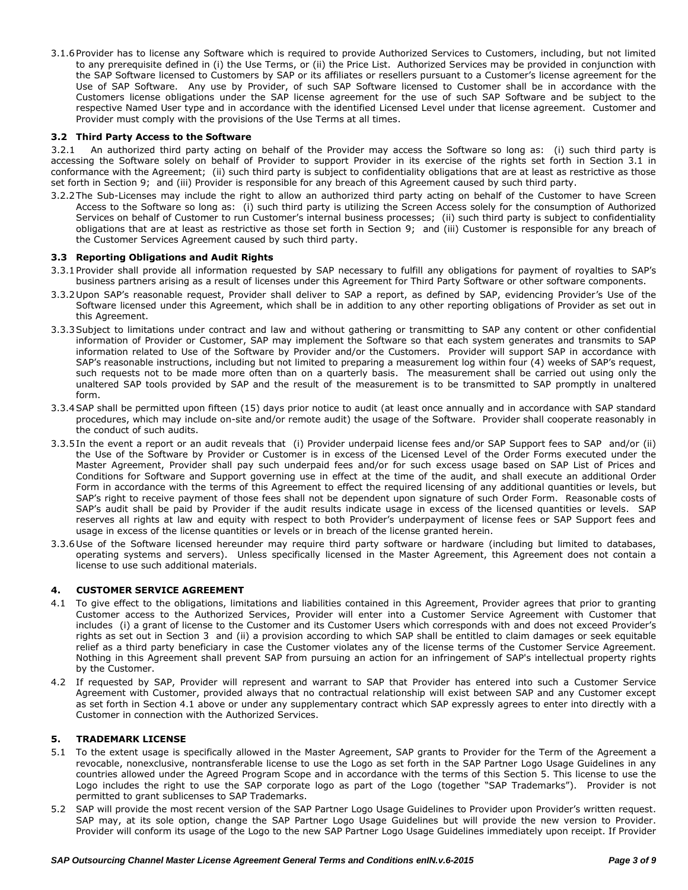3.1.6Provider has to license any Software which is required to provide Authorized Services to Customers, including, but not limited to any prerequisite defined in (i) the Use Terms, or (ii) the Price List. Authorized Services may be provided in conjunction with the SAP Software licensed to Customers by SAP or its affiliates or resellers pursuant to a Customer's license agreement for the Use of SAP Software. Any use by Provider, of such SAP Software licensed to Customer shall be in accordance with the Customers license obligations under the SAP license agreement for the use of such SAP Software and be subject to the respective Named User type and in accordance with the identified Licensed Level under that license agreement. Customer and Provider must comply with the provisions of the Use Terms at all times.

# **3.2 Third Party Access to the Software**

3.2.1 An authorized third party acting on behalf of the Provider may access the Software so long as: (i) such third party is accessing the Software solely on behalf of Provider to support Provider in its exercise of the rights set forth in Section 3.1 in conformance with the Agreement; (ii) such third party is subject to confidentiality obligations that are at least as restrictive as those set forth in Section 9; and (iii) Provider is responsible for any breach of this Agreement caused by such third party.

3.2.2The Sub-Licenses may include the right to allow an authorized third party acting on behalf of the Customer to have Screen Access to the Software so long as: (i) such third party is utilizing the Screen Access solely for the consumption of Authorized Services on behalf of Customer to run Customer's internal business processes; (ii) such third party is subject to confidentiality obligations that are at least as restrictive as those set forth in Section 9; and (iii) Customer is responsible for any breach of the Customer Services Agreement caused by such third party.

### **3.3 Reporting Obligations and Audit Rights**

- 3.3.1Provider shall provide all information requested by SAP necessary to fulfill any obligations for payment of royalties to SAP's business partners arising as a result of licenses under this Agreement for Third Party Software or other software components.
- 3.3.2Upon SAP's reasonable request, Provider shall deliver to SAP a report, as defined by SAP, evidencing Provider's Use of the Software licensed under this Agreement, which shall be in addition to any other reporting obligations of Provider as set out in this Agreement.
- 3.3.3Subject to limitations under contract and law and without gathering or transmitting to SAP any content or other confidential information of Provider or Customer, SAP may implement the Software so that each system generates and transmits to SAP information related to Use of the Software by Provider and/or the Customers. Provider will support SAP in accordance with SAP's reasonable instructions, including but not limited to preparing a measurement log within four (4) weeks of SAP's request, such requests not to be made more often than on a quarterly basis. The measurement shall be carried out using only the unaltered SAP tools provided by SAP and the result of the measurement is to be transmitted to SAP promptly in unaltered form.
- 3.3.4SAP shall be permitted upon fifteen (15) days prior notice to audit (at least once annually and in accordance with SAP standard procedures, which may include on-site and/or remote audit) the usage of the Software. Provider shall cooperate reasonably in the conduct of such audits.
- 3.3.5In the event a report or an audit reveals that (i) Provider underpaid license fees and/or SAP Support fees to SAP and/or (ii) the Use of the Software by Provider or Customer is in excess of the Licensed Level of the Order Forms executed under the Master Agreement, Provider shall pay such underpaid fees and/or for such excess usage based on SAP List of Prices and Conditions for Software and Support governing use in effect at the time of the audit, and shall execute an additional Order Form in accordance with the terms of this Agreement to effect the required licensing of any additional quantities or levels, but SAP's right to receive payment of those fees shall not be dependent upon signature of such Order Form. Reasonable costs of SAP's audit shall be paid by Provider if the audit results indicate usage in excess of the licensed quantities or levels. SAP reserves all rights at law and equity with respect to both Provider's underpayment of license fees or SAP Support fees and usage in excess of the license quantities or levels or in breach of the license granted herein.
- 3.3.6Use of the Software licensed hereunder may require third party software or hardware (including but limited to databases, operating systems and servers). Unless specifically licensed in the Master Agreement, this Agreement does not contain a license to use such additional materials.

### **4. CUSTOMER SERVICE AGREEMENT**

- 4.1 To give effect to the obligations, limitations and liabilities contained in this Agreement, Provider agrees that prior to granting Customer access to the Authorized Services, Provider will enter into a Customer Service Agreement with Customer that includes (i) a grant of license to the Customer and its Customer Users which corresponds with and does not exceed Provider's rights as set out in Section 3 and (ii) a provision according to which SAP shall be entitled to claim damages or seek equitable relief as a third party beneficiary in case the Customer violates any of the license terms of the Customer Service Agreement. Nothing in this Agreement shall prevent SAP from pursuing an action for an infringement of SAP's intellectual property rights by the Customer.
- 4.2 If requested by SAP, Provider will represent and warrant to SAP that Provider has entered into such a Customer Service Agreement with Customer, provided always that no contractual relationship will exist between SAP and any Customer except as set forth in Section 4.1 above or under any supplementary contract which SAP expressly agrees to enter into directly with a Customer in connection with the Authorized Services.

### **5. TRADEMARK LICENSE**

- 5.1 To the extent usage is specifically allowed in the Master Agreement, SAP grants to Provider for the Term of the Agreement a revocable, nonexclusive, nontransferable license to use the Logo as set forth in the SAP Partner Logo Usage Guidelines in any countries allowed under the Agreed Program Scope and in accordance with the terms of this Section 5. This license to use the Logo includes the right to use the SAP corporate logo as part of the Logo (together "SAP Trademarks"). Provider is not permitted to grant sublicenses to SAP Trademarks.
- 5.2 SAP will provide the most recent version of the SAP Partner Logo Usage Guidelines to Provider upon Provider's written request. SAP may, at its sole option, change the SAP Partner Logo Usage Guidelines but will provide the new version to Provider. Provider will conform its usage of the Logo to the new SAP Partner Logo Usage Guidelines immediately upon receipt. If Provider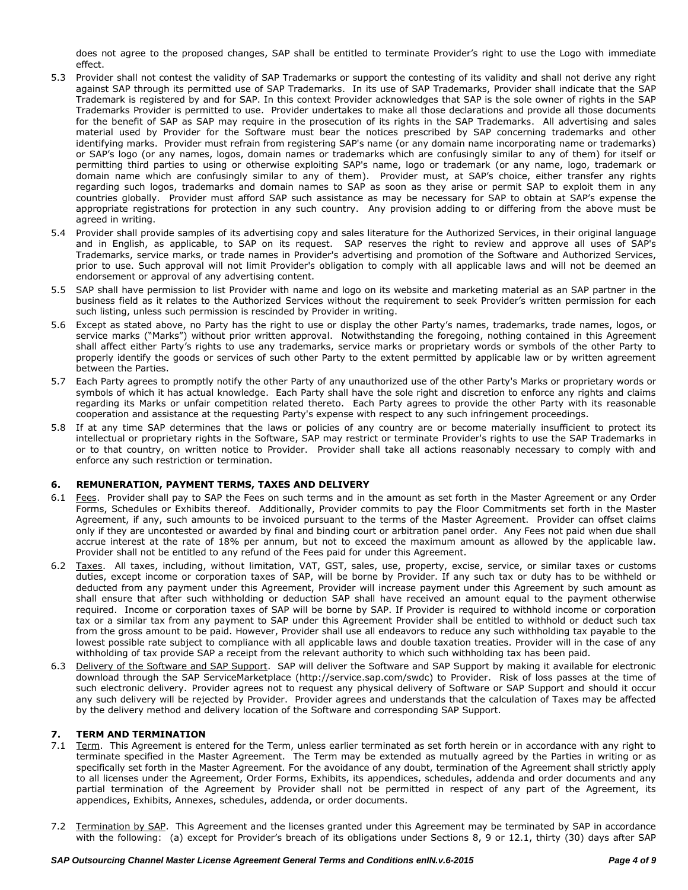does not agree to the proposed changes, SAP shall be entitled to terminate Provider's right to use the Logo with immediate effect.

- 5.3 Provider shall not contest the validity of SAP Trademarks or support the contesting of its validity and shall not derive any right against SAP through its permitted use of SAP Trademarks. In its use of SAP Trademarks, Provider shall indicate that the SAP Trademark is registered by and for SAP. In this context Provider acknowledges that SAP is the sole owner of rights in the SAP Trademarks Provider is permitted to use. Provider undertakes to make all those declarations and provide all those documents for the benefit of SAP as SAP may require in the prosecution of its rights in the SAP Trademarks. All advertising and sales material used by Provider for the Software must bear the notices prescribed by SAP concerning trademarks and other identifying marks. Provider must refrain from registering SAP's name (or any domain name incorporating name or trademarks) or SAP's logo (or any names, logos, domain names or trademarks which are confusingly similar to any of them) for itself or permitting third parties to using or otherwise exploiting SAP's name, logo or trademark (or any name, logo, trademark or domain name which are confusingly similar to any of them). Provider must, at SAP's choice, either transfer any rights regarding such logos, trademarks and domain names to SAP as soon as they arise or permit SAP to exploit them in any countries globally. Provider must afford SAP such assistance as may be necessary for SAP to obtain at SAP's expense the appropriate registrations for protection in any such country. Any provision adding to or differing from the above must be agreed in writing.
- 5.4 Provider shall provide samples of its advertising copy and sales literature for the Authorized Services, in their original language and in English, as applicable, to SAP on its request. SAP reserves the right to review and approve all uses of SAP's Trademarks, service marks, or trade names in Provider's advertising and promotion of the Software and Authorized Services, prior to use. Such approval will not limit Provider's obligation to comply with all applicable laws and will not be deemed an endorsement or approval of any advertising content.
- 5.5 SAP shall have permission to list Provider with name and logo on its website and marketing material as an SAP partner in the business field as it relates to the Authorized Services without the requirement to seek Provider's written permission for each such listing, unless such permission is rescinded by Provider in writing.
- 5.6 Except as stated above, no Party has the right to use or display the other Party's names, trademarks, trade names, logos, or service marks ("Marks") without prior written approval. Notwithstanding the foregoing, nothing contained in this Agreement shall affect either Party's rights to use any trademarks, service marks or proprietary words or symbols of the other Party to properly identify the goods or services of such other Party to the extent permitted by applicable law or by written agreement between the Parties.
- 5.7 Each Party agrees to promptly notify the other Party of any unauthorized use of the other Party's Marks or proprietary words or symbols of which it has actual knowledge. Each Party shall have the sole right and discretion to enforce any rights and claims regarding its Marks or unfair competition related thereto. Each Party agrees to provide the other Party with its reasonable cooperation and assistance at the requesting Party's expense with respect to any such infringement proceedings.
- 5.8 If at any time SAP determines that the laws or policies of any country are or become materially insufficient to protect its intellectual or proprietary rights in the Software, SAP may restrict or terminate Provider's rights to use the SAP Trademarks in or to that country, on written notice to Provider. Provider shall take all actions reasonably necessary to comply with and enforce any such restriction or termination.

# **6. REMUNERATION, PAYMENT TERMS, TAXES AND DELIVERY**

- 6.1 Fees. Provider shall pay to SAP the Fees on such terms and in the amount as set forth in the Master Agreement or any Order Forms, Schedules or Exhibits thereof. Additionally, Provider commits to pay the Floor Commitments set forth in the Master Agreement, if any, such amounts to be invoiced pursuant to the terms of the Master Agreement. Provider can offset claims only if they are uncontested or awarded by final and binding court or arbitration panel order. Any Fees not paid when due shall accrue interest at the rate of 18% per annum, but not to exceed the maximum amount as allowed by the applicable law. Provider shall not be entitled to any refund of the Fees paid for under this Agreement.
- 6.2 Taxes. All taxes, including, without limitation, VAT, GST, sales, use, property, excise, service, or similar taxes or customs duties, except income or corporation taxes of SAP, will be borne by Provider. If any such tax or duty has to be withheld or deducted from any payment under this Agreement, Provider will increase payment under this Agreement by such amount as shall ensure that after such withholding or deduction SAP shall have received an amount equal to the payment otherwise required. Income or corporation taxes of SAP will be borne by SAP. If Provider is required to withhold income or corporation tax or a similar tax from any payment to SAP under this Agreement Provider shall be entitled to withhold or deduct such tax from the gross amount to be paid. However, Provider shall use all endeavors to reduce any such withholding tax payable to the lowest possible rate subject to compliance with all applicable laws and double taxation treaties. Provider will in the case of any withholding of tax provide SAP a receipt from the relevant authority to which such withholding tax has been paid.
- 6.3 Delivery of the Software and SAP Support. SAP will deliver the Software and SAP Support by making it available for electronic download through the SAP ServiceMarketplace (http://service.sap.com/swdc) to Provider. Risk of loss passes at the time of such electronic delivery. Provider agrees not to request any physical delivery of Software or SAP Support and should it occur any such delivery will be rejected by Provider. Provider agrees and understands that the calculation of Taxes may be affected by the delivery method and delivery location of the Software and corresponding SAP Support.

### **7. TERM AND TERMINATION**

- 7.1 Term. This Agreement is entered for the Term, unless earlier terminated as set forth herein or in accordance with any right to terminate specified in the Master Agreement. The Term may be extended as mutually agreed by the Parties in writing or as specifically set forth in the Master Agreement. For the avoidance of any doubt, termination of the Agreement shall strictly apply to all licenses under the Agreement, Order Forms, Exhibits, its appendices, schedules, addenda and order documents and any partial termination of the Agreement by Provider shall not be permitted in respect of any part of the Agreement, its appendices, Exhibits, Annexes, schedules, addenda, or order documents.
- 7.2 Termination by SAP. This Agreement and the licenses granted under this Agreement may be terminated by SAP in accordance with the following: (a) except for Provider's breach of its obligations under Sections 8, 9 or 12.1, thirty (30) days after SAP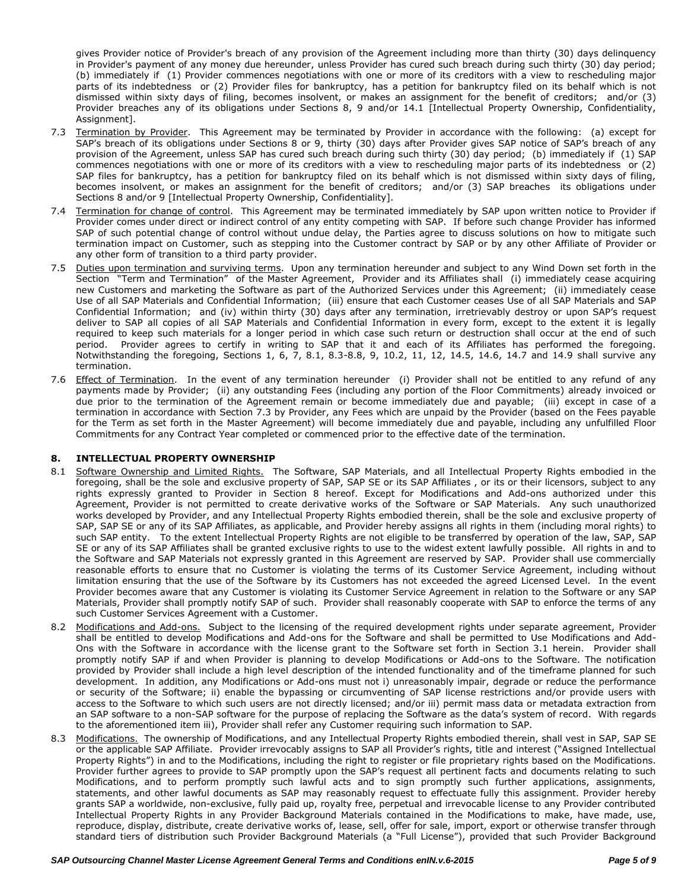gives Provider notice of Provider's breach of any provision of the Agreement including more than thirty (30) days delinquency in Provider's payment of any money due hereunder, unless Provider has cured such breach during such thirty (30) day period; (b) immediately if (1) Provider commences negotiations with one or more of its creditors with a view to rescheduling major parts of its indebtedness or (2) Provider files for bankruptcy, has a petition for bankruptcy filed on its behalf which is not dismissed within sixty days of filing, becomes insolvent, or makes an assignment for the benefit of creditors; and/or (3) Provider breaches any of its obligations under Sections 8, 9 and/or 14.1 [Intellectual Property Ownership, Confidentiality, Assignment].

- 7.3 Termination by Provider. This Agreement may be terminated by Provider in accordance with the following: (a) except for SAP's breach of its obligations under Sections 8 or 9, thirty (30) days after Provider gives SAP notice of SAP's breach of any provision of the Agreement, unless SAP has cured such breach during such thirty (30) day period; (b) immediately if (1) SAP commences negotiations with one or more of its creditors with a view to rescheduling major parts of its indebtedness or (2) SAP files for bankruptcy, has a petition for bankruptcy filed on its behalf which is not dismissed within sixty days of filing, becomes insolvent, or makes an assignment for the benefit of creditors; and/or (3) SAP breaches its obligations under Sections 8 and/or 9 [Intellectual Property Ownership, Confidentiality].
- 7.4 Termination for change of control. This Agreement may be terminated immediately by SAP upon written notice to Provider if Provider comes under direct or indirect control of any entity competing with SAP. If before such change Provider has informed SAP of such potential change of control without undue delay, the Parties agree to discuss solutions on how to mitigate such termination impact on Customer, such as stepping into the Customer contract by SAP or by any other Affiliate of Provider or any other form of transition to a third party provider.
- 7.5 Duties upon termination and surviving terms. Upon any termination hereunder and subject to any Wind Down set forth in the Section "Term and Termination" of the Master Agreement, Provider and its Affiliates shall (i) immediately cease acquiring new Customers and marketing the Software as part of the Authorized Services under this Agreement; (ii) immediately cease Use of all SAP Materials and Confidential Information; (iii) ensure that each Customer ceases Use of all SAP Materials and SAP Confidential Information; and (iv) within thirty (30) days after any termination, irretrievably destroy or upon SAP's request deliver to SAP all copies of all SAP Materials and Confidential Information in every form, except to the extent it is legally required to keep such materials for a longer period in which case such return or destruction shall occur at the end of such period. Provider agrees to certify in writing to SAP that it and each of its Affiliates has performed the foregoing. Notwithstanding the foregoing, Sections 1, 6, 7, 8.1, 8.3-8.8, 9, 10.2, 11, 12, 14.5, 14.6, 14.7 and 14.9 shall survive any termination.
- 7.6 Effect of Termination. In the event of any termination hereunder (i) Provider shall not be entitled to any refund of any payments made by Provider; (ii) any outstanding Fees (including any portion of the Floor Commitments) already invoiced or due prior to the termination of the Agreement remain or become immediately due and payable; (iii) except in case of a termination in accordance with Section 7.3 by Provider, any Fees which are unpaid by the Provider (based on the Fees payable for the Term as set forth in the Master Agreement) will become immediately due and payable, including any unfulfilled Floor Commitments for any Contract Year completed or commenced prior to the effective date of the termination.

### **8. INTELLECTUAL PROPERTY OWNERSHIP**

- 8.1 Software Ownership and Limited Rights. The Software, SAP Materials, and all Intellectual Property Rights embodied in the foregoing, shall be the sole and exclusive property of SAP, SAP SE or its SAP Affiliates , or its or their licensors, subject to any rights expressly granted to Provider in Section 8 hereof. Except for Modifications and Add-ons authorized under this Agreement, Provider is not permitted to create derivative works of the Software or SAP Materials. Any such unauthorized works developed by Provider, and any Intellectual Property Rights embodied therein, shall be the sole and exclusive property of SAP, SAP SE or any of its SAP Affiliates, as applicable, and Provider hereby assigns all rights in them (including moral rights) to such SAP entity. To the extent Intellectual Property Rights are not eligible to be transferred by operation of the law, SAP, SAP SE or any of its SAP Affiliates shall be granted exclusive rights to use to the widest extent lawfully possible. All rights in and to the Software and SAP Materials not expressly granted in this Agreement are reserved by SAP. Provider shall use commercially reasonable efforts to ensure that no Customer is violating the terms of its Customer Service Agreement, including without limitation ensuring that the use of the Software by its Customers has not exceeded the agreed Licensed Level. In the event Provider becomes aware that any Customer is violating its Customer Service Agreement in relation to the Software or any SAP Materials, Provider shall promptly notify SAP of such. Provider shall reasonably cooperate with SAP to enforce the terms of any such Customer Services Agreement with a Customer.
- 8.2 Modifications and Add-ons. Subject to the licensing of the required development rights under separate agreement, Provider shall be entitled to develop Modifications and Add-ons for the Software and shall be permitted to Use Modifications and Add-Ons with the Software in accordance with the license grant to the Software set forth in Section 3.1 herein. Provider shall promptly notify SAP if and when Provider is planning to develop Modifications or Add-ons to the Software. The notification provided by Provider shall include a high level description of the intended functionality and of the timeframe planned for such development. In addition, any Modifications or Add-ons must not i) unreasonably impair, degrade or reduce the performance or security of the Software; ii) enable the bypassing or circumventing of SAP license restrictions and/or provide users with access to the Software to which such users are not directly licensed; and/or iii) permit mass data or metadata extraction from an SAP software to a non-SAP software for the purpose of replacing the Software as the data's system of record. With regards to the aforementioned item iii), Provider shall refer any Customer requiring such information to SAP.
- 8.3 Modifications. The ownership of Modifications, and any Intellectual Property Rights embodied therein, shall vest in SAP, SAP SE or the applicable SAP Affiliate. Provider irrevocably assigns to SAP all Provider's rights, title and interest ("Assigned Intellectual Property Rights") in and to the Modifications, including the right to register or file proprietary rights based on the Modifications. Provider further agrees to provide to SAP promptly upon the SAP's request all pertinent facts and documents relating to such Modifications, and to perform promptly such lawful acts and to sign promptly such further applications, assignments, statements, and other lawful documents as SAP may reasonably request to effectuate fully this assignment. Provider hereby grants SAP a worldwide, non-exclusive, fully paid up, royalty free, perpetual and irrevocable license to any Provider contributed Intellectual Property Rights in any Provider Background Materials contained in the Modifications to make, have made, use, reproduce, display, distribute, create derivative works of, lease, sell, offer for sale, import, export or otherwise transfer through standard tiers of distribution such Provider Background Materials (a "Full License"), provided that such Provider Background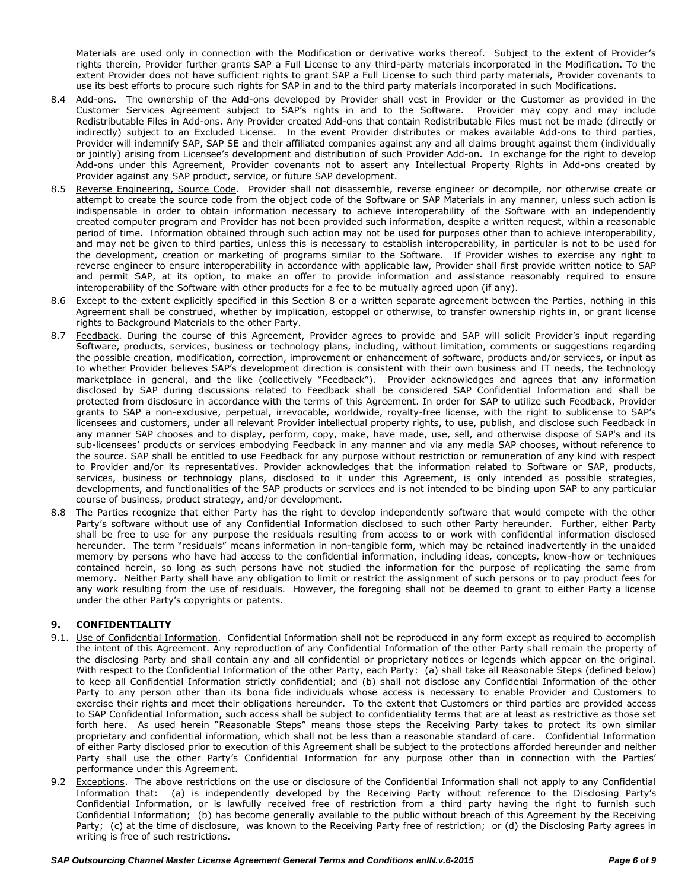Materials are used only in connection with the Modification or derivative works thereof. Subject to the extent of Provider's rights therein, Provider further grants SAP a Full License to any third-party materials incorporated in the Modification. To the extent Provider does not have sufficient rights to grant SAP a Full License to such third party materials, Provider covenants to use its best efforts to procure such rights for SAP in and to the third party materials incorporated in such Modifications.

- 8.4 Add-ons. The ownership of the Add-ons developed by Provider shall vest in Provider or the Customer as provided in the Customer Services Agreement subject to SAP's rights in and to the Software. Provider may copy and may include Redistributable Files in Add-ons. Any Provider created Add-ons that contain Redistributable Files must not be made (directly or indirectly) subject to an Excluded License. In the event Provider distributes or makes available Add-ons to third parties, Provider will indemnify SAP, SAP SE and their affiliated companies against any and all claims brought against them (individually or jointly) arising from Licensee's development and distribution of such Provider Add-on. In exchange for the right to develop Add-ons under this Agreement, Provider covenants not to assert any Intellectual Property Rights in Add-ons created by Provider against any SAP product, service, or future SAP development.
- 8.5 Reverse Engineering, Source Code. Provider shall not disassemble, reverse engineer or decompile, nor otherwise create or attempt to create the source code from the object code of the Software or SAP Materials in any manner, unless such action is indispensable in order to obtain information necessary to achieve interoperability of the Software with an independently created computer program and Provider has not been provided such information, despite a written request, within a reasonable period of time. Information obtained through such action may not be used for purposes other than to achieve interoperability, and may not be given to third parties, unless this is necessary to establish interoperability, in particular is not to be used for the development, creation or marketing of programs similar to the Software. If Provider wishes to exercise any right to reverse engineer to ensure interoperability in accordance with applicable law, Provider shall first provide written notice to SAP and permit SAP, at its option, to make an offer to provide information and assistance reasonably required to ensure interoperability of the Software with other products for a fee to be mutually agreed upon (if any).
- 8.6 Except to the extent explicitly specified in this Section 8 or a written separate agreement between the Parties, nothing in this Agreement shall be construed, whether by implication, estoppel or otherwise, to transfer ownership rights in, or grant license rights to Background Materials to the other Party.
- 8.7 Feedback. During the course of this Agreement, Provider agrees to provide and SAP will solicit Provider's input regarding Software, products, services, business or technology plans, including, without limitation, comments or suggestions regarding the possible creation, modification, correction, improvement or enhancement of software, products and/or services, or input as to whether Provider believes SAP's development direction is consistent with their own business and IT needs, the technology marketplace in general, and the like (collectively "Feedback"). Provider acknowledges and agrees that any information disclosed by SAP during discussions related to Feedback shall be considered SAP Confidential Information and shall be protected from disclosure in accordance with the terms of this Agreement. In order for SAP to utilize such Feedback, Provider grants to SAP a non-exclusive, perpetual, irrevocable, worldwide, royalty-free license, with the right to sublicense to SAP's licensees and customers, under all relevant Provider intellectual property rights, to use, publish, and disclose such Feedback in any manner SAP chooses and to display, perform, copy, make, have made, use, sell, and otherwise dispose of SAP's and its sub-licensees' products or services embodying Feedback in any manner and via any media SAP chooses, without reference to the source. SAP shall be entitled to use Feedback for any purpose without restriction or remuneration of any kind with respect to Provider and/or its representatives. Provider acknowledges that the information related to Software or SAP, products, services, business or technology plans, disclosed to it under this Agreement, is only intended as possible strategies, developments, and functionalities of the SAP products or services and is not intended to be binding upon SAP to any particular course of business, product strategy, and/or development.
- 8.8 The Parties recognize that either Party has the right to develop independently software that would compete with the other Party's software without use of any Confidential Information disclosed to such other Party hereunder. Further, either Party shall be free to use for any purpose the residuals resulting from access to or work with confidential information disclosed hereunder. The term "residuals" means information in non-tangible form, which may be retained inadvertently in the unaided memory by persons who have had access to the confidential information, including ideas, concepts, know-how or techniques contained herein, so long as such persons have not studied the information for the purpose of replicating the same from memory. Neither Party shall have any obligation to limit or restrict the assignment of such persons or to pay product fees for any work resulting from the use of residuals. However, the foregoing shall not be deemed to grant to either Party a license under the other Party's copyrights or patents.

# **9. CONFIDENTIALITY**

- 9.1. Use of Confidential Information. Confidential Information shall not be reproduced in any form except as required to accomplish the intent of this Agreement. Any reproduction of any Confidential Information of the other Party shall remain the property of the disclosing Party and shall contain any and all confidential or proprietary notices or legends which appear on the original. With respect to the Confidential Information of the other Party, each Party: (a) shall take all Reasonable Steps (defined below) to keep all Confidential Information strictly confidential; and (b) shall not disclose any Confidential Information of the other Party to any person other than its bona fide individuals whose access is necessary to enable Provider and Customers to exercise their rights and meet their obligations hereunder. To the extent that Customers or third parties are provided access to SAP Confidential Information, such access shall be subject to confidentiality terms that are at least as restrictive as those set forth here. As used herein "Reasonable Steps" means those steps the Receiving Party takes to protect its own similar proprietary and confidential information, which shall not be less than a reasonable standard of care. Confidential Information of either Party disclosed prior to execution of this Agreement shall be subject to the protections afforded hereunder and neither Party shall use the other Party's Confidential Information for any purpose other than in connection with the Parties' performance under this Agreement.
- 9.2 Exceptions. The above restrictions on the use or disclosure of the Confidential Information shall not apply to any Confidential Information that: (a) is independently developed by the Receiving Party without reference to the Disclosing Party's Confidential Information, or is lawfully received free of restriction from a third party having the right to furnish such Confidential Information; (b) has become generally available to the public without breach of this Agreement by the Receiving Party; (c) at the time of disclosure, was known to the Receiving Party free of restriction; or (d) the Disclosing Party agrees in writing is free of such restrictions.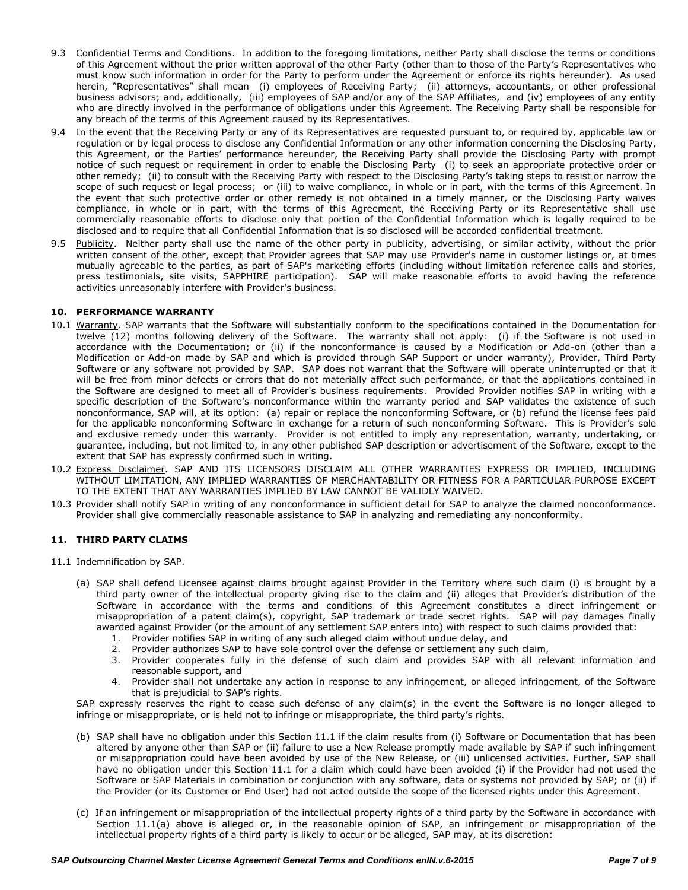- 9.3 Confidential Terms and Conditions. In addition to the foregoing limitations, neither Party shall disclose the terms or conditions of this Agreement without the prior written approval of the other Party (other than to those of the Party's Representatives who must know such information in order for the Party to perform under the Agreement or enforce its rights hereunder). As used herein, "Representatives" shall mean (i) employees of Receiving Party; (ii) attorneys, accountants, or other professional business advisors; and, additionally, (iii) employees of SAP and/or any of the SAP Affiliates, and (iv) employees of any entity who are directly involved in the performance of obligations under this Agreement. The Receiving Party shall be responsible for any breach of the terms of this Agreement caused by its Representatives.
- 9.4 In the event that the Receiving Party or any of its Representatives are requested pursuant to, or required by, applicable law or regulation or by legal process to disclose any Confidential Information or any other information concerning the Disclosing Party, this Agreement, or the Parties' performance hereunder, the Receiving Party shall provide the Disclosing Party with prompt notice of such request or requirement in order to enable the Disclosing Party (i) to seek an appropriate protective order or other remedy; (ii) to consult with the Receiving Party with respect to the Disclosing Party's taking steps to resist or narrow the scope of such request or legal process; or (iii) to waive compliance, in whole or in part, with the terms of this Agreement. In the event that such protective order or other remedy is not obtained in a timely manner, or the Disclosing Party waives compliance, in whole or in part, with the terms of this Agreement, the Receiving Party or its Representative shall use commercially reasonable efforts to disclose only that portion of the Confidential Information which is legally required to be disclosed and to require that all Confidential Information that is so disclosed will be accorded confidential treatment.
- 9.5 Publicity. Neither party shall use the name of the other party in publicity, advertising, or similar activity, without the prior written consent of the other, except that Provider agrees that SAP may use Provider's name in customer listings or, at times mutually agreeable to the parties, as part of SAP's marketing efforts (including without limitation reference calls and stories, press testimonials, site visits, SAPPHIRE participation). SAP will make reasonable efforts to avoid having the reference activities unreasonably interfere with Provider's business.

## **10. PERFORMANCE WARRANTY**

- 10.1 Warranty. SAP warrants that the Software will substantially conform to the specifications contained in the Documentation for twelve (12) months following delivery of the Software. The warranty shall not apply: (i) if the Software is not used in accordance with the Documentation; or (ii) if the nonconformance is caused by a Modification or Add-on (other than a Modification or Add-on made by SAP and which is provided through SAP Support or under warranty), Provider, Third Party Software or any software not provided by SAP. SAP does not warrant that the Software will operate uninterrupted or that it will be free from minor defects or errors that do not materially affect such performance, or that the applications contained in the Software are designed to meet all of Provider's business requirements. Provided Provider notifies SAP in writing with a specific description of the Software's nonconformance within the warranty period and SAP validates the existence of such nonconformance, SAP will, at its option: (a) repair or replace the nonconforming Software, or (b) refund the license fees paid for the applicable nonconforming Software in exchange for a return of such nonconforming Software. This is Provider's sole and exclusive remedy under this warranty. Provider is not entitled to imply any representation, warranty, undertaking, or guarantee, including, but not limited to, in any other published SAP description or advertisement of the Software, except to the extent that SAP has expressly confirmed such in writing.
- 10.2 Express Disclaimer. SAP AND ITS LICENSORS DISCLAIM ALL OTHER WARRANTIES EXPRESS OR IMPLIED, INCLUDING WITHOUT LIMITATION, ANY IMPLIED WARRANTIES OF MERCHANTABILITY OR FITNESS FOR A PARTICULAR PURPOSE EXCEPT TO THE EXTENT THAT ANY WARRANTIES IMPLIED BY LAW CANNOT BE VALIDLY WAIVED.
- 10.3 Provider shall notify SAP in writing of any nonconformance in sufficient detail for SAP to analyze the claimed nonconformance. Provider shall give commercially reasonable assistance to SAP in analyzing and remediating any nonconformity.

### **11. THIRD PARTY CLAIMS**

- 11.1 Indemnification by SAP.
	- (a) SAP shall defend Licensee against claims brought against Provider in the Territory where such claim (i) is brought by a third party owner of the intellectual property giving rise to the claim and (ii) alleges that Provider's distribution of the Software in accordance with the terms and conditions of this Agreement constitutes a direct infringement or misappropriation of a patent claim(s), copyright, SAP trademark or trade secret rights. SAP will pay damages finally awarded against Provider (or the amount of any settlement SAP enters into) with respect to such claims provided that:
		- 1. Provider notifies SAP in writing of any such alleged claim without undue delay, and
		- 2. Provider authorizes SAP to have sole control over the defense or settlement any such claim,
		- 3. Provider cooperates fully in the defense of such claim and provides SAP with all relevant information and reasonable support, and
		- 4. Provider shall not undertake any action in response to any infringement, or alleged infringement, of the Software that is prejudicial to SAP's rights.

SAP expressly reserves the right to cease such defense of any claim(s) in the event the Software is no longer alleged to infringe or misappropriate, or is held not to infringe or misappropriate, the third party's rights.

- (b) SAP shall have no obligation under this Section 11.1 if the claim results from (i) Software or Documentation that has been altered by anyone other than SAP or (ii) failure to use a New Release promptly made available by SAP if such infringement or misappropriation could have been avoided by use of the New Release, or (iii) unlicensed activities. Further, SAP shall have no obligation under this Section 11.1 for a claim which could have been avoided (i) if the Provider had not used the Software or SAP Materials in combination or conjunction with any software, data or systems not provided by SAP; or (ii) if the Provider (or its Customer or End User) had not acted outside the scope of the licensed rights under this Agreement.
- (c) If an infringement or misappropriation of the intellectual property rights of a third party by the Software in accordance with Section 11.1(a) above is alleged or, in the reasonable opinion of SAP, an infringement or misappropriation of the intellectual property rights of a third party is likely to occur or be alleged, SAP may, at its discretion: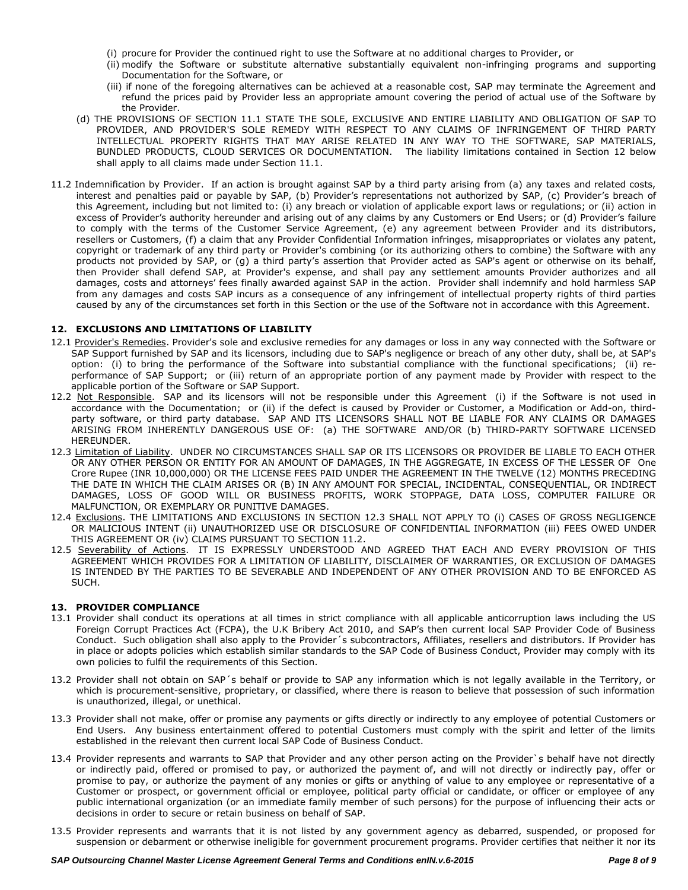- (i) procure for Provider the continued right to use the Software at no additional charges to Provider, or
- (ii) modify the Software or substitute alternative substantially equivalent non-infringing programs and supporting Documentation for the Software, or
- (iii) if none of the foregoing alternatives can be achieved at a reasonable cost, SAP may terminate the Agreement and refund the prices paid by Provider less an appropriate amount covering the period of actual use of the Software by the Provider.
- (d) THE PROVISIONS OF SECTION 11.1 STATE THE SOLE, EXCLUSIVE AND ENTIRE LIABILITY AND OBLIGATION OF SAP TO PROVIDER, AND PROVIDER'S SOLE REMEDY WITH RESPECT TO ANY CLAIMS OF INFRINGEMENT OF THIRD PARTY INTELLECTUAL PROPERTY RIGHTS THAT MAY ARISE RELATED IN ANY WAY TO THE SOFTWARE, SAP MATERIALS, BUNDLED PRODUCTS, CLOUD SERVICES OR DOCUMENTATION. The liability limitations contained in Section 12 below shall apply to all claims made under Section 11.1.
- 11.2 Indemnification by Provider. If an action is brought against SAP by a third party arising from (a) any taxes and related costs, interest and penalties paid or payable by SAP, (b) Provider's representations not authorized by SAP, (c) Provider's breach of this Agreement, including but not limited to: (i) any breach or violation of applicable export laws or regulations; or (ii) action in excess of Provider's authority hereunder and arising out of any claims by any Customers or End Users; or (d) Provider's failure to comply with the terms of the Customer Service Agreement, (e) any agreement between Provider and its distributors, resellers or Customers, (f) a claim that any Provider Confidential Information infringes, misappropriates or violates any patent, copyright or trademark of any third party or Provider's combining (or its authorizing others to combine) the Software with any products not provided by SAP, or (g) a third party's assertion that Provider acted as SAP's agent or otherwise on its behalf, then Provider shall defend SAP, at Provider's expense, and shall pay any settlement amounts Provider authorizes and all damages, costs and attorneys' fees finally awarded against SAP in the action. Provider shall indemnify and hold harmless SAP from any damages and costs SAP incurs as a consequence of any infringement of intellectual property rights of third parties caused by any of the circumstances set forth in this Section or the use of the Software not in accordance with this Agreement.

## **12. EXCLUSIONS AND LIMITATIONS OF LIABILITY**

- 12.1 Provider's Remedies. Provider's sole and exclusive remedies for any damages or loss in any way connected with the Software or SAP Support furnished by SAP and its licensors, including due to SAP's negligence or breach of any other duty, shall be, at SAP's option: (i) to bring the performance of the Software into substantial compliance with the functional specifications; (ii) reperformance of SAP Support; or (iii) return of an appropriate portion of any payment made by Provider with respect to the applicable portion of the Software or SAP Support.
- 12.2 Not Responsible. SAP and its licensors will not be responsible under this Agreement (i) if the Software is not used in accordance with the Documentation; or (ii) if the defect is caused by Provider or Customer, a Modification or Add-on, thirdparty software, or third party database. SAP AND ITS LICENSORS SHALL NOT BE LIABLE FOR ANY CLAIMS OR DAMAGES ARISING FROM INHERENTLY DANGEROUS USE OF: (a) THE SOFTWARE AND/OR (b) THIRD-PARTY SOFTWARE LICENSED HEREUNDER.
- 12.3 Limitation of Liability. UNDER NO CIRCUMSTANCES SHALL SAP OR ITS LICENSORS OR PROVIDER BE LIABLE TO EACH OTHER OR ANY OTHER PERSON OR ENTITY FOR AN AMOUNT OF DAMAGES, IN THE AGGREGATE, IN EXCESS OF THE LESSER OF One Crore Rupee (INR 10,000,000) OR THE LICENSE FEES PAID UNDER THE AGREEMENT IN THE TWELVE (12) MONTHS PRECEDING THE DATE IN WHICH THE CLAIM ARISES OR (B) IN ANY AMOUNT FOR SPECIAL, INCIDENTAL, CONSEQUENTIAL, OR INDIRECT DAMAGES, LOSS OF GOOD WILL OR BUSINESS PROFITS, WORK STOPPAGE, DATA LOSS, COMPUTER FAILURE OR MALFUNCTION, OR EXEMPLARY OR PUNITIVE DAMAGES.
- 12.4 Exclusions. THE LIMITATIONS AND EXCLUSIONS IN SECTION 12.3 SHALL NOT APPLY TO (i) CASES OF GROSS NEGLIGENCE OR MALICIOUS INTENT (ii) UNAUTHORIZED USE OR DISCLOSURE OF CONFIDENTIAL INFORMATION (iii) FEES OWED UNDER THIS AGREEMENT OR (iv) CLAIMS PURSUANT TO SECTION 11.2.
- 12.5 Severability of Actions. IT IS EXPRESSLY UNDERSTOOD AND AGREED THAT EACH AND EVERY PROVISION OF THIS AGREEMENT WHICH PROVIDES FOR A LIMITATION OF LIABILITY, DISCLAIMER OF WARRANTIES, OR EXCLUSION OF DAMAGES IS INTENDED BY THE PARTIES TO BE SEVERABLE AND INDEPENDENT OF ANY OTHER PROVISION AND TO BE ENFORCED AS SUCH.

### **13. PROVIDER COMPLIANCE**

- 13.1 Provider shall conduct its operations at all times in strict compliance with all applicable anticorruption laws including the US Foreign Corrupt Practices Act (FCPA), the U.K Bribery Act 2010, and SAP's then current local SAP Provider Code of Business Conduct. Such obligation shall also apply to the Provider´s subcontractors, Affiliates, resellers and distributors. If Provider has in place or adopts policies which establish similar standards to the SAP Code of Business Conduct, Provider may comply with its own policies to fulfil the requirements of this Section.
- 13.2 Provider shall not obtain on SAP´s behalf or provide to SAP any information which is not legally available in the Territory, or which is procurement-sensitive, proprietary, or classified, where there is reason to believe that possession of such information is unauthorized, illegal, or unethical.
- 13.3 Provider shall not make, offer or promise any payments or gifts directly or indirectly to any employee of potential Customers or End Users. Any business entertainment offered to potential Customers must comply with the spirit and letter of the limits established in the relevant then current local SAP Code of Business Conduct.
- 13.4 Provider represents and warrants to SAP that Provider and any other person acting on the Provider`s behalf have not directly or indirectly paid, offered or promised to pay, or authorized the payment of, and will not directly or indirectly pay, offer or promise to pay, or authorize the payment of any monies or gifts or anything of value to any employee or representative of a Customer or prospect, or government official or employee, political party official or candidate, or officer or employee of any public international organization (or an immediate family member of such persons) for the purpose of influencing their acts or decisions in order to secure or retain business on behalf of SAP.
- 13.5 Provider represents and warrants that it is not listed by any government agency as debarred, suspended, or proposed for suspension or debarment or otherwise ineligible for government procurement programs. Provider certifies that neither it nor its